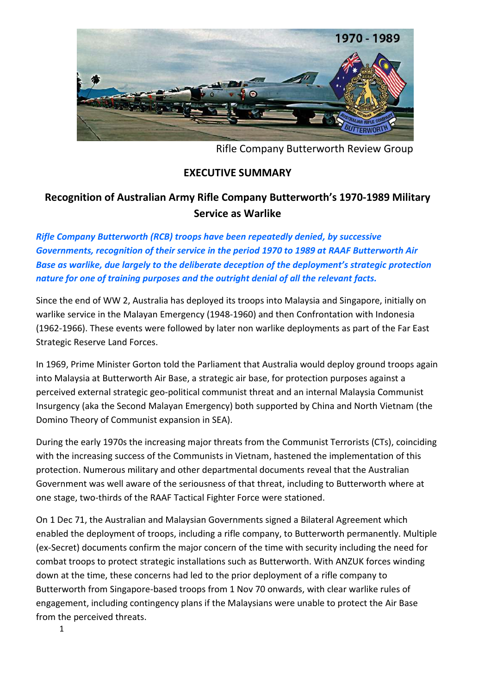

Rifle Company Butterworth Review Group

## **EXECUTIVE SUMMARY**

## **Recognition of Australian Army Rifle Company Butterworth's 1970-1989 Military Service as Warlike**

*Rifle Company Butterworth (RCB) troops have been repeatedly denied, by successive Governments, recognition of their service in the period 1970 to 1989 at RAAF Butterworth Air*  **Base as warlike, due largely to the deliberate deception of the deployment's strategic protection** *nature for one of training purposes and the outright denial of all the relevant facts.*

Since the end of WW 2, Australia has deployed its troops into Malaysia and Singapore, initially on warlike service in the Malayan Emergency (1948-1960) and then Confrontation with Indonesia (1962-1966). These events were followed by later non warlike deployments as part of the Far East Strategic Reserve Land Forces.

In 1969, Prime Minister Gorton told the Parliament that Australia would deploy ground troops again into Malaysia at Butterworth Air Base, a strategic air base, for protection purposes against a perceived external strategic geo-political communist threat and an internal Malaysia Communist Insurgency (aka the Second Malayan Emergency) both supported by China and North Vietnam (the Domino Theory of Communist expansion in SEA).

During the early 1970s the increasing major threats from the Communist Terrorists (CTs), coinciding with the increasing success of the Communists in Vietnam, hastened the implementation of this protection. Numerous military and other departmental documents reveal that the Australian Government was well aware of the seriousness of that threat, including to Butterworth where at one stage, two-thirds of the RAAF Tactical Fighter Force were stationed.

On 1 Dec 71, the Australian and Malaysian Governments signed a Bilateral Agreement which enabled the deployment of troops, including a rifle company, to Butterworth permanently. Multiple (ex-Secret) documents confirm the major concern of the time with security including the need for combat troops to protect strategic installations such as Butterworth. With ANZUK forces winding down at the time, these concerns had led to the prior deployment of a rifle company to Butterworth from Singapore-based troops from 1 Nov 70 onwards, with clear warlike rules of engagement, including contingency plans if the Malaysians were unable to protect the Air Base from the perceived threats.